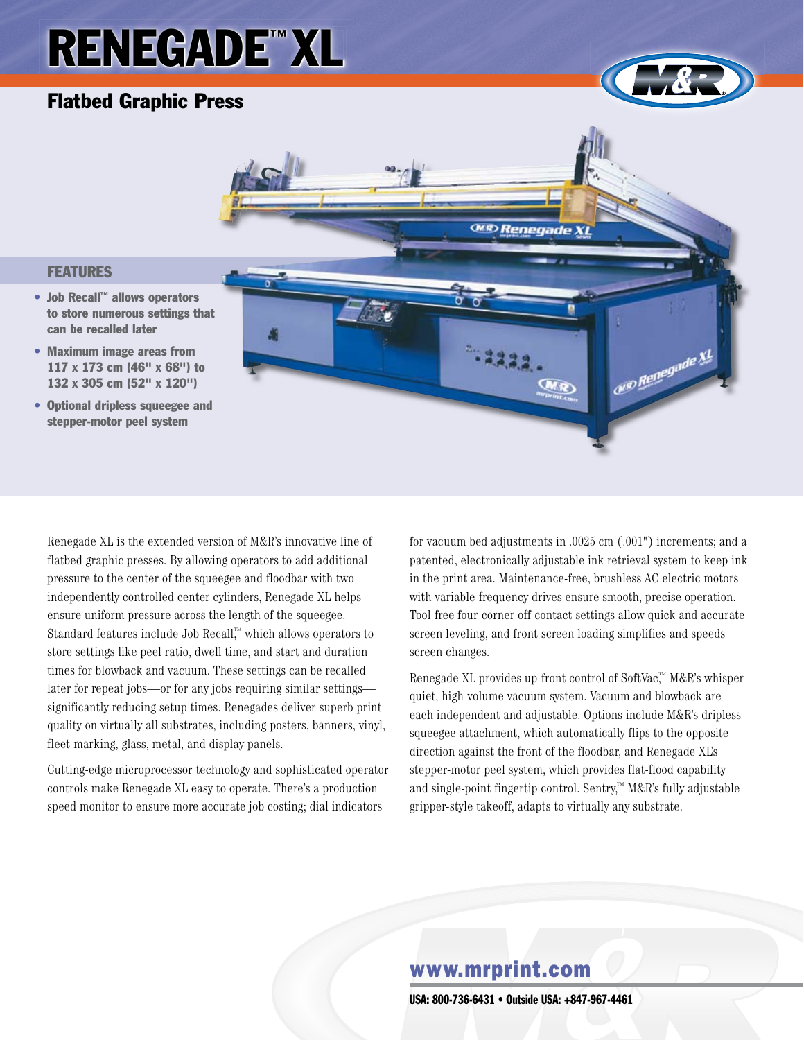# **RENEGADE™ XL**

## Flatbed Graphic Press

**FEATURES** 





## Renegade XL is the extended version of M&R's innovative line of flatbed graphic presses. By allowing operators to add additional pressure to the center of the squeegee and floodbar with two independently controlled center cylinders, Renegade XL helps ensure uniform pressure across the length of the squeegee. Standard features include Job Recall,™ which allows operators to store settings like peel ratio, dwell time, and start and duration times for blowback and vacuum. These settings can be recalled later for repeat jobs—or for any jobs requiring similar settings significantly reducing setup times. Renegades deliver superb print quality on virtually all substrates, including posters, banners, vinyl, fleet-marking, glass, metal, and display panels.

Cutting-edge microprocessor technology and sophisticated operator controls make Renegade XL easy to operate. There's a production speed monitor to ensure more accurate job costing; dial indicators

for vacuum bed adjustments in .0025 cm (.001") increments; and a patented, electronically adjustable ink retrieval system to keep ink in the print area. Maintenance-free, brushless AC electric motors with variable-frequency drives ensure smooth, precise operation. Tool-free four-corner off-contact settings allow quick and accurate screen leveling, and front screen loading simplifies and speeds screen changes.

Renegade XL provides up-front control of SoftVac,™ M&R's whisperquiet, high-volume vacuum system. Vacuum and blowback are each independent and adjustable. Options include M&R's dripless squeegee attachment, which automatically flips to the opposite direction against the front of the floodbar, and Renegade XL's stepper-motor peel system, which provides flat-flood capability and single-point fingertip control. Sentry,™ M&R's fully adjustable gripper-style takeoff, adapts to virtually any substrate.

## www.mrprint.com

USa: 800-736-6431 • Outside USa: +847-967-4461